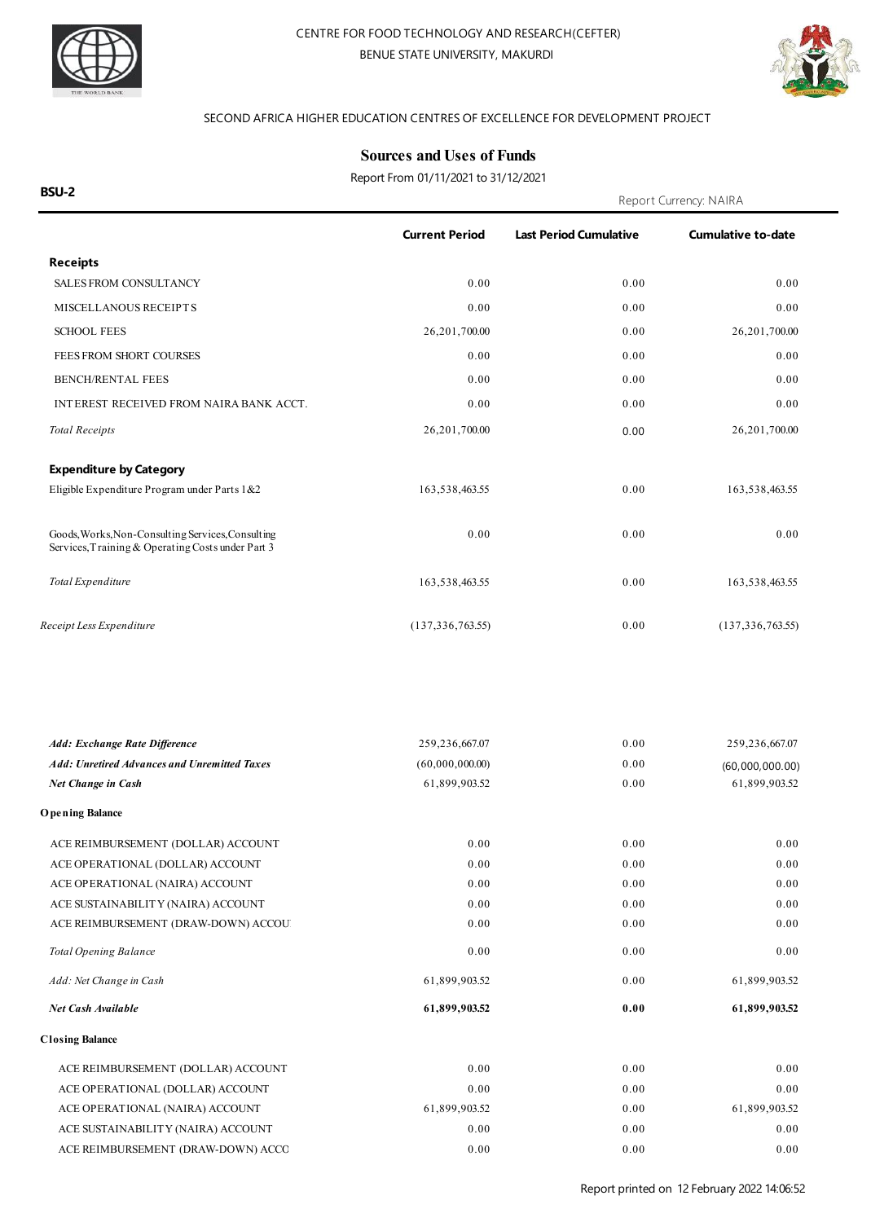



#### SECOND AFRICA HIGHER EDUCATION CENTRES OF EXCELLENCE FOR DEVELOPMENT PROJECT

### **Sources and Uses of Funds**

Report From 01/11/2021 to 31/12/2021

**BSU-2** Report Currency: NAIRA **Receipts Current Period Last Period Cumulative Cumulative to-date** SALES FROM CONSULTANCY 0.00 0.00 0.00 MISCELLANOUS RECEIPTS 0.00 0.00 0.00 0.00 0.00 0.00 SCHOOL FEES 26,201,700.00 0.00 26,201,700.00 0.00 26,201,700.00 FEES FROM SHORT COURSES 0.00 0.00 0.00 BENCH/RENTAL FEES 0.00 0.00 0.00 INTEREST RECEIVED FROM NAIRA BANK ACCT.  $0.00$  0.00 0.00 0.00 0.00 0.00 0.00 *Total Receipts* 26,201,700.00 26,201,700.00 0.00 26,201,700.00 **Expenditure by Category** Eligible Expenditure Program under Parts 1&2 163,538,463.55 0.00 163,538,463.55 163,538,463.55 Goods, Works, Non-Consulting Services, Consulting  $0.00$  0.00 0.00 0.00 0.00 0.00 Services,Training & Operating Costs under Part 3 *Total Expenditure* 163,538,463.55 0.00 163,538,463.55 *Receipt Less Expenditure* (137,336,763.55) 0.00 (137,336,763.55) *Add: Exchange Rate Difference* 259,236,667.07 259,236,667.07 *Net Change in Cash* 61,899,903.52 0.00 0.00 61,899,903.52 *Add: Unretired Advances and Unremitted Taxes* (60,000,000.00) 0.00 (60,000,000.00) **O pening Balance** ACE REIMBURSEMENT (DOLLAR) ACCOUNT 0.00 0.00 0.00 0.00 0.00 0.00 ACE OPERATIONAL (DOLLAR) ACCOUNT 0.00 0.00 0.00 ACE OPERATIONAL (NAIRA) ACCOUNT 0.00 0.00 0.00 ACE SUSTAINABILITY (NAIRA) ACCOUNT 0.00 0.00 0.00 ACE REIMBURSEMENT (DRAW-DOWN) ACCOUNT 0.00 0.00 0.00 **Total Opening Balance** 0.00 *Add: Net Change in Cash* 61,899,903.52 *Net Cash Available* **61,899,903.52** 0.00 0.00 **0.00** 0.00 61,899,903.52 **61,899,903.52 Closing Balance** ACE REIMBURSEMENT (DOLLAR) ACCOUNT 0.00 0.00 0.00 0.00 0.00 0.00 ACE OPERATIONAL (DOLLAR) ACCOUNT 0.00 0.00 0.00 0.00 0.00 0.00 ACE OPERATIONAL (NAIRA) ACCOUNT 61,899,903.52 0.00 61,899,903.52 61,899,903.52 ACE SUSTAINABILITY (NAIRA) ACCOUNT 0.00 0.00 0.00 0.00 0.00 0.00 0.00 ACE REIMBURSEMENT (DRAW-DOWN) ACCOUNT 0.00 0.00 0.00